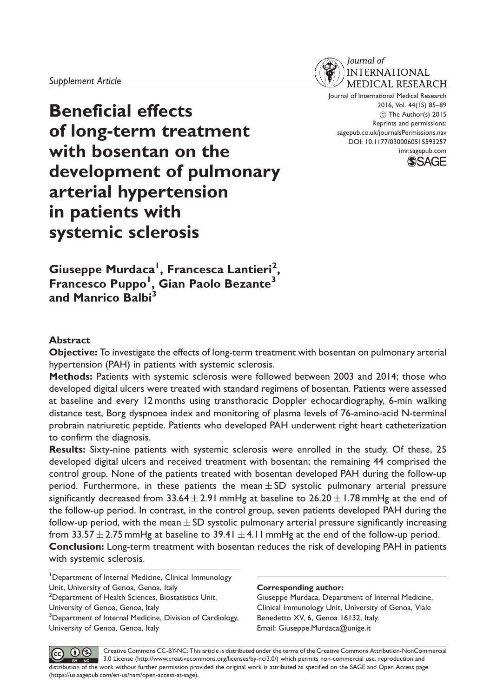

Journal of International Medical Research 2016, Vol. 44(1S) 85–89 C The Author(s) 2015 Reprints and permissions: sagepub.co.uk/journalsPermissions.nav DOI: 10.1177/0300060515593257 imr.sagepub.com



Beneficial effects of long-term treatment with bosentan on the development of pulmonary arterial hypertension in patients with systemic sclerosis

Giuseppe Murdaca<sup>I</sup>, Francesca Lantieri<sup>2</sup>, Francesco Puppo<sup>1</sup>, Gian Paolo Bezante<sup>3</sup> and Manrico Balbi<sup>3</sup>

### **Abstract**

Objective: To investigate the effects of long-term treatment with bosentan on pulmonary arterial hypertension (PAH) in patients with systemic sclerosis.

Methods: Patients with systemic sclerosis were followed between 2003 and 2014; those who developed digital ulcers were treated with standard regimens of bosentan. Patients were assessed at baseline and every 12 months using transthoracic Doppler echocardiography, 6-min walking distance test, Borg dyspnoea index and monitoring of plasma levels of 76-amino-acid N-terminal probrain natriuretic peptide. Patients who developed PAH underwent right heart catheterization to confirm the diagnosis.

Results: Sixty-nine patients with systemic sclerosis were enrolled in the study. Of these, 25 developed digital ulcers and received treatment with bosentan; the remaining 44 comprised the control group. None of the patients treated with bosentan developed PAH during the follow-up period. Furthermore, in these patients the mean $\pm$ SD systolic pulmonary arterial pressure significantly decreased from 33.64 $\pm$  2.91 mmHg at baseline to 26.20  $\pm$  1.78 mmHg at the end of the follow-up period. In contrast, in the control group, seven patients developed PAH during the follow-up period, with the mean  $\pm$  SD systolic pulmonary arterial pressure significantly increasing from 33.57  $\pm$  2.75 mmHg at baseline to 39.41  $\pm$  4.11 mmHg at the end of the follow-up period. Conclusion: Long-term treatment with bosentan reduces the risk of developing PAH in patients with systemic sclerosis.

<sup>1</sup>Department of Internal Medicine, Clinical Immunology Unit, University of Genoa, Genoa, Italy

<sup>2</sup>Department of Health Sciences, Biostatistics Unit, University of Genoa, Genoa, Italy

<sup>3</sup>Department of Internal Medicine, Division of Cardiology, University of Genoa, Genoa, Italy

#### Corresponding author:

Giuseppe Murdaca, Department of Internal Medicine, Clinical Immunology Unit, University of Genoa, Viale Benedetto XV, 6, Genoa 16132, Italy. Email: Giuseppe.Murdaca@unige.it

Creative Commons CC-BY-NC: This article is distributed under the terms of the Creative Commons Attribution-NonCommercial  $\bigcirc$ (cc 3.0 License (http://www.creativecommons.org/licenses/by-nc/3.0/) which permits non-commercial use, reproduction and  $BY$  NC distribution of the work without further permission provided the original work is attributed as specified on the SAGE and Open Access page (https://us.sagepub.com/en-us/nam/open-access-at-sage).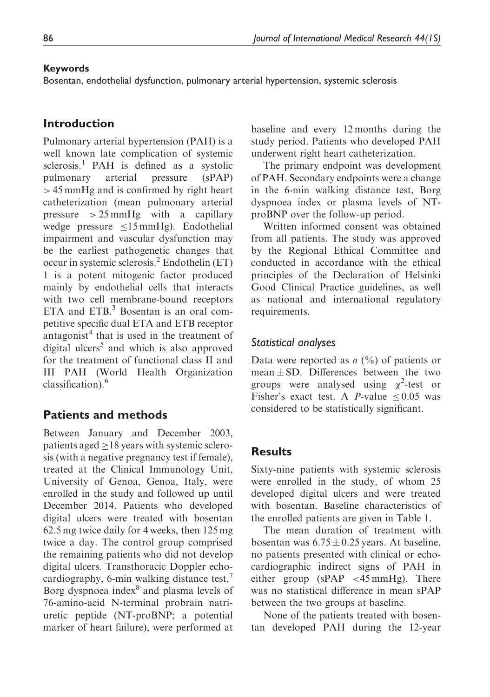### Keywords

Bosentan, endothelial dysfunction, pulmonary arterial hypertension, systemic sclerosis

# Introduction

Pulmonary arterial hypertension (PAH) is a well known late complication of systemic sclerosis.<sup>1</sup> PAH is defined as a systolic pulmonary arterial pressure (sPAP) > 45 mmHg and is confirmed by right heart catheterization (mean pulmonary arterial pressure  $> 25$  mmHg with a capillary wedge pressure  $\leq 15$  mmHg). Endothelial impairment and vascular dysfunction may be the earliest pathogenetic changes that occur in systemic sclerosis.<sup>2</sup> Endothelin (ET) 1 is a potent mitogenic factor produced mainly by endothelial cells that interacts with two cell membrane-bound receptors ETA and ETB.<sup>3</sup> Bosentan is an oral competitive specific dual ETA and ETB receptor antagonist $4$  that is used in the treatment of digital ulcers<sup>5</sup> and which is also approved for the treatment of functional class II and III PAH (World Health Organization classification).<sup>6</sup>

# Patients and methods

Between January and December 2003, patients aged  $>18$  years with systemic sclerosis (with a negative pregnancy test if female), treated at the Clinical Immunology Unit, University of Genoa, Genoa, Italy, were enrolled in the study and followed up until December 2014. Patients who developed digital ulcers were treated with bosentan 62.5 mg twice daily for 4 weeks, then 125 mg twice a day. The control group comprised the remaining patients who did not develop digital ulcers. Transthoracic Doppler echocardiography, 6-min walking distance test,<sup>7</sup> Borg dyspnoea index<sup>8</sup> and plasma levels of 76-amino-acid N-terminal probrain natriuretic peptide (NT-proBNP; a potential marker of heart failure), were performed at baseline and every 12 months during the study period. Patients who developed PAH underwent right heart catheterization.

The primary endpoint was development of PAH. Secondary endpoints were a change in the 6-min walking distance test, Borg dyspnoea index or plasma levels of NTproBNP over the follow-up period.

Written informed consent was obtained from all patients. The study was approved by the Regional Ethical Committee and conducted in accordance with the ethical principles of the Declaration of Helsinki Good Clinical Practice guidelines, as well as national and international regulatory requirements.

## Statistical analyses

Data were reported as  $n \binom{0}{0}$  of patients or  $mean \pm SD$ . Differences between the two groups were analysed using  $\chi^2$ -test or Fisher's exact test. A *P*-value  $\leq 0.05$  was considered to be statistically significant.

## Results

Sixty-nine patients with systemic sclerosis were enrolled in the study, of whom 25 developed digital ulcers and were treated with bosentan. Baseline characteristics of the enrolled patients are given in Table 1.

The mean duration of treatment with bosentan was  $6.75 \pm 0.25$  years. At baseline, no patients presented with clinical or echocardiographic indirect signs of PAH in either group (sPAP <45 mmHg). There was no statistical difference in mean sPAP between the two groups at baseline.

None of the patients treated with bosentan developed PAH during the 12-year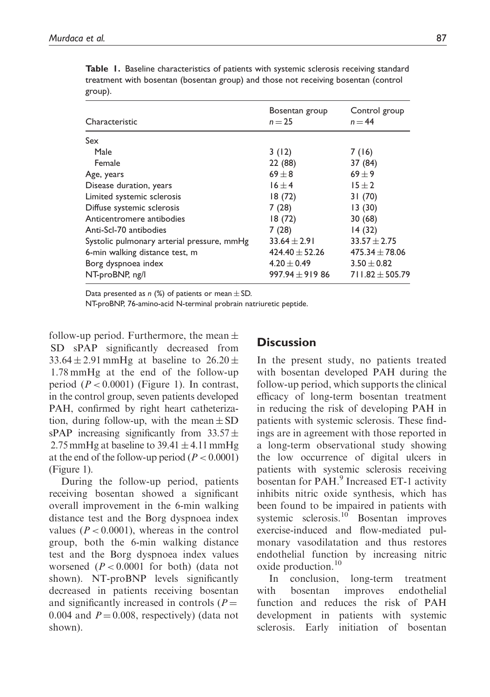| Characteristic                             | Bosentan group<br>$n = 25$ | Control group<br>$n = 44$ |
|--------------------------------------------|----------------------------|---------------------------|
| Sex                                        |                            |                           |
| Male                                       | 3(12)                      | 7(16)                     |
| Female                                     | 22 (88)                    | 37 (84)                   |
| Age, years                                 | $69 + 8$                   | $69 + 9$                  |
| Disease duration, years                    | $16 \pm 4$                 | $15 \pm 2$                |
| Limited systemic sclerosis                 | 18(72)                     | 31(70)                    |
| Diffuse systemic sclerosis                 | 7(28)                      | 13(30)                    |
| Anticentromere antibodies                  | 18(72)                     | 30(68)                    |
| Anti-Scl-70 antibodies                     | 7(28)                      | 14(32)                    |
| Systolic pulmonary arterial pressure, mmHg | $33.64 \pm 2.91$           | $33.57 \pm 2.75$          |
| 6-min walking distance test, m             | $424.40 \pm 52.26$         | $475.34 \pm 78.06$        |
| Borg dyspnoea index                        | $4.20 \pm 0.49$            | $3.50 \pm 0.82$           |
| NT-proBNP, ng/l                            | $997.94 \pm 919.86$        | $711.82 \pm 505.79$       |

Table 1. Baseline characteristics of patients with systemic sclerosis receiving standard treatment with bosentan (bosentan group) and those not receiving bosentan (control group).

Data presented as n (%) of patients or mean  $\pm$  SD.

NT-proBNP, 76-amino-acid N-terminal probrain natriuretic peptide.

follow-up period. Furthermore, the mean  $\pm$ SD sPAP significantly decreased from 33.64  $\pm$  2.91 mmHg at baseline to 26.20  $\pm$ 1.78 mmHg at the end of the follow-up period  $(P < 0.0001)$  (Figure 1). In contrast, in the control group, seven patients developed PAH, confirmed by right heart catheterization, during follow-up, with the mean  $\pm$  SD sPAP increasing significantly from  $33.57 \pm$ 2.75 mmHg at baseline to  $39.41 \pm 4.11$  mmHg at the end of the follow-up period ( $P < 0.0001$ ) (Figure 1).

During the follow-up period, patients receiving bosentan showed a significant overall improvement in the 6-min walking distance test and the Borg dyspnoea index values ( $P < 0.0001$ ), whereas in the control group, both the 6-min walking distance test and the Borg dyspnoea index values worsened  $(P < 0.0001$  for both) (data not shown). NT-proBNP levels significantly decreased in patients receiving bosentan and significantly increased in controls  $(P =$ 0.004 and  $P = 0.008$ , respectively) (data not shown).

# **Discussion**

In the present study, no patients treated with bosentan developed PAH during the follow-up period, which supports the clinical efficacy of long-term bosentan treatment in reducing the risk of developing PAH in patients with systemic sclerosis. These findings are in agreement with those reported in a long-term observational study showing the low occurrence of digital ulcers in patients with systemic sclerosis receiving bosentan for PAH.<sup>9</sup> Increased ET-1 activity inhibits nitric oxide synthesis, which has been found to be impaired in patients with systemic sclerosis.<sup>10</sup> Bosentan improves exercise-induced and flow-mediated pulmonary vasodilatation and thus restores endothelial function by increasing nitric oxide production.<sup>10</sup>

In conclusion, long-term treatment with bosentan improves endothelial function and reduces the risk of PAH development in patients with systemic sclerosis. Early initiation of bosentan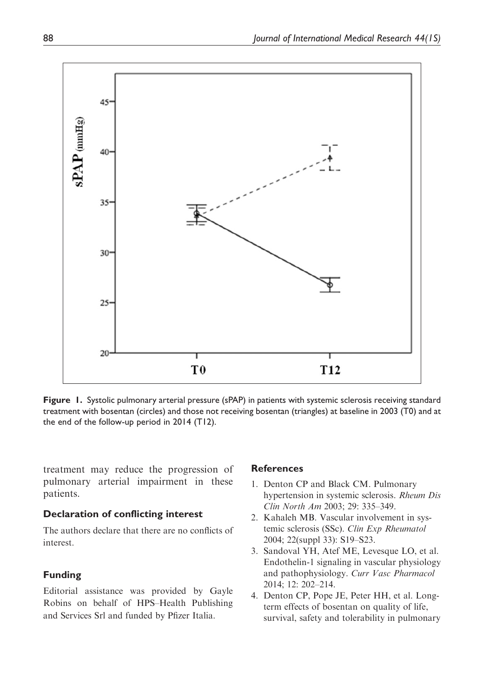

Figure 1. Systolic pulmonary arterial pressure (sPAP) in patients with systemic sclerosis receiving standard treatment with bosentan (circles) and those not receiving bosentan (triangles) at baseline in 2003 (T0) and at the end of the follow-up period in 2014 (T12).

treatment may reduce the progression of pulmonary arterial impairment in these patients.

#### Declaration of conflicting interest

The authors declare that there are no conflicts of interest.

### Funding

Editorial assistance was provided by Gayle Robins on behalf of HPS–Health Publishing and Services Srl and funded by Pfizer Italia.

#### References

- 1. Denton CP and Black CM. Pulmonary hypertension in systemic sclerosis. Rheum Dis Clin North Am 2003; 29: 335–349.
- 2. Kahaleh MB. Vascular involvement in systemic sclerosis (SSc). Clin Exp Rheumatol 2004; 22(suppl 33): S19–S23.
- 3. Sandoval YH, Atef ME, Levesque LO, et al. Endothelin-1 signaling in vascular physiology and pathophysiology. Curr Vasc Pharmacol 2014; 12: 202–214.
- 4. Denton CP, Pope JE, Peter HH, et al. Longterm effects of bosentan on quality of life, survival, safety and tolerability in pulmonary